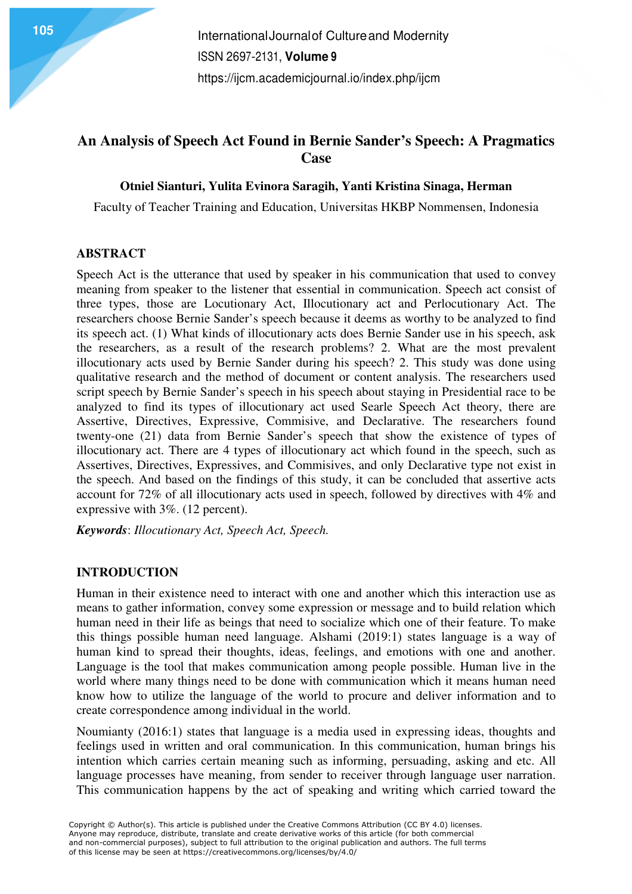# **An Analysis of Speech Act Found in Bernie Sander's Speech: A Pragmatics Case**

## **Otniel Sianturi, Yulita Evinora Saragih, Yanti Kristina Sinaga, Herman**

Faculty of Teacher Training and Education, Universitas HKBP Nommensen, Indonesia

## **ABSTRACT**

Speech Act is the utterance that used by speaker in his communication that used to convey meaning from speaker to the listener that essential in communication. Speech act consist of three types, those are Locutionary Act, Illocutionary act and Perlocutionary Act. The researchers choose Bernie Sander's speech because it deems as worthy to be analyzed to find its speech act. (1) What kinds of illocutionary acts does Bernie Sander use in his speech, ask the researchers, as a result of the research problems? 2. What are the most prevalent illocutionary acts used by Bernie Sander during his speech? 2. This study was done using qualitative research and the method of document or content analysis. The researchers used script speech by Bernie Sander's speech in his speech about staying in Presidential race to be analyzed to find its types of illocutionary act used Searle Speech Act theory, there are Assertive, Directives, Expressive, Commisive, and Declarative. The researchers found twenty-one (21) data from Bernie Sander's speech that show the existence of types of illocutionary act. There are 4 types of illocutionary act which found in the speech, such as Assertives, Directives, Expressives, and Commisives, and only Declarative type not exist in the speech. And based on the findings of this study, it can be concluded that assertive acts account for 72% of all illocutionary acts used in speech, followed by directives with 4% and expressive with 3%. (12 percent).

*Keywords*: *Illocutionary Act, Speech Act, Speech.* 

#### **INTRODUCTION**

Human in their existence need to interact with one and another which this interaction use as means to gather information, convey some expression or message and to build relation which human need in their life as beings that need to socialize which one of their feature. To make this things possible human need language. Alshami (2019:1) states language is a way of human kind to spread their thoughts, ideas, feelings, and emotions with one and another. Language is the tool that makes communication among people possible. Human live in the world where many things need to be done with communication which it means human need know how to utilize the language of the world to procure and deliver information and to create correspondence among individual in the world.

Noumianty (2016:1) states that language is a media used in expressing ideas, thoughts and feelings used in written and oral communication. In this communication, human brings his intention which carries certain meaning such as informing, persuading, asking and etc. All language processes have meaning, from sender to receiver through language user narration. This communication happens by the act of speaking and writing which carried toward the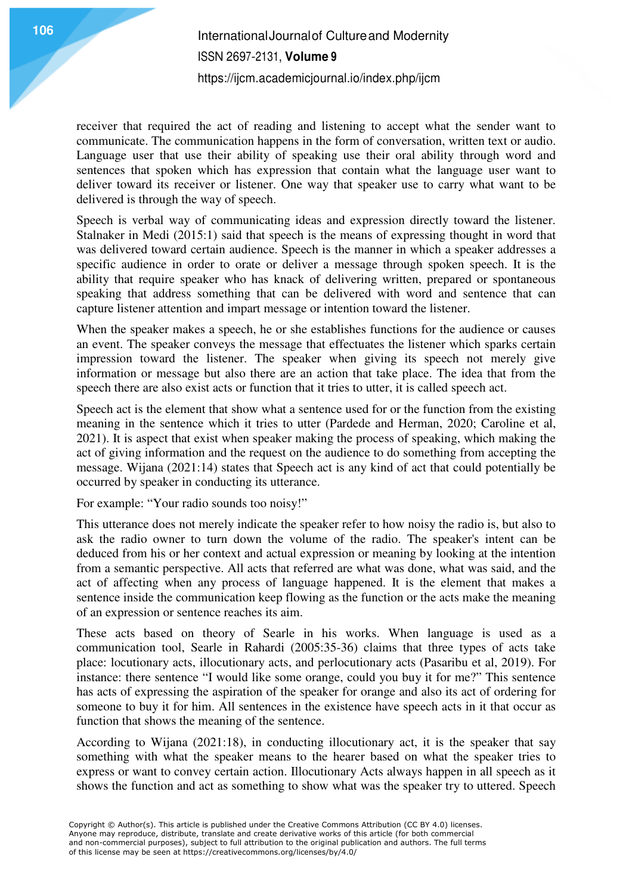receiver that required the act of reading and listening to accept what the sender want to communicate. The communication happens in the form of conversation, written text or audio. Language user that use their ability of speaking use their oral ability through word and sentences that spoken which has expression that contain what the language user want to deliver toward its receiver or listener. One way that speaker use to carry what want to be delivered is through the way of speech.

Speech is verbal way of communicating ideas and expression directly toward the listener. Stalnaker in Medi (2015:1) said that speech is the means of expressing thought in word that was delivered toward certain audience. Speech is the manner in which a speaker addresses a specific audience in order to orate or deliver a message through spoken speech. It is the ability that require speaker who has knack of delivering written, prepared or spontaneous speaking that address something that can be delivered with word and sentence that can capture listener attention and impart message or intention toward the listener.

When the speaker makes a speech, he or she establishes functions for the audience or causes an event. The speaker conveys the message that effectuates the listener which sparks certain impression toward the listener. The speaker when giving its speech not merely give information or message but also there are an action that take place. The idea that from the speech there are also exist acts or function that it tries to utter, it is called speech act.

Speech act is the element that show what a sentence used for or the function from the existing meaning in the sentence which it tries to utter (Pardede and Herman, 2020; Caroline et al, 2021). It is aspect that exist when speaker making the process of speaking, which making the act of giving information and the request on the audience to do something from accepting the message. Wijana (2021:14) states that Speech act is any kind of act that could potentially be occurred by speaker in conducting its utterance.

For example: "Your radio sounds too noisy!"

This utterance does not merely indicate the speaker refer to how noisy the radio is, but also to ask the radio owner to turn down the volume of the radio. The speaker's intent can be deduced from his or her context and actual expression or meaning by looking at the intention from a semantic perspective. All acts that referred are what was done, what was said, and the act of affecting when any process of language happened. It is the element that makes a sentence inside the communication keep flowing as the function or the acts make the meaning of an expression or sentence reaches its aim.

These acts based on theory of Searle in his works. When language is used as a communication tool, Searle in Rahardi (2005:35-36) claims that three types of acts take place: locutionary acts, illocutionary acts, and perlocutionary acts (Pasaribu et al, 2019). For instance: there sentence "I would like some orange, could you buy it for me?" This sentence has acts of expressing the aspiration of the speaker for orange and also its act of ordering for someone to buy it for him. All sentences in the existence have speech acts in it that occur as function that shows the meaning of the sentence.

According to Wijana (2021:18), in conducting illocutionary act, it is the speaker that say something with what the speaker means to the hearer based on what the speaker tries to express or want to convey certain action. Illocutionary Acts always happen in all speech as it shows the function and act as something to show what was the speaker try to uttered. Speech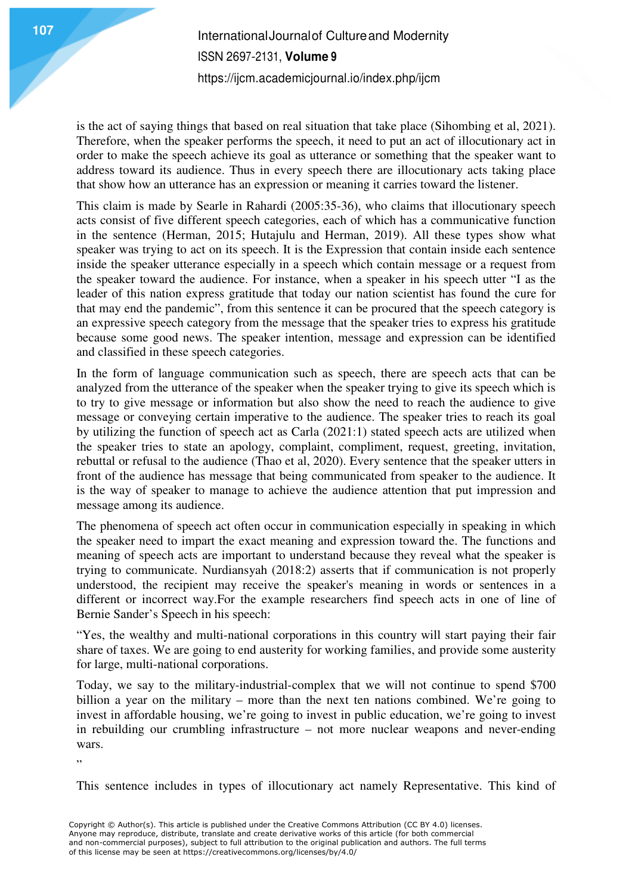is the act of saying things that based on real situation that take place (Sihombing et al, 2021). Therefore, when the speaker performs the speech, it need to put an act of illocutionary act in order to make the speech achieve its goal as utterance or something that the speaker want to address toward its audience. Thus in every speech there are illocutionary acts taking place that show how an utterance has an expression or meaning it carries toward the listener.

This claim is made by Searle in Rahardi (2005:35-36), who claims that illocutionary speech acts consist of five different speech categories, each of which has a communicative function in the sentence (Herman, 2015; Hutajulu and Herman, 2019). All these types show what speaker was trying to act on its speech. It is the Expression that contain inside each sentence inside the speaker utterance especially in a speech which contain message or a request from the speaker toward the audience. For instance, when a speaker in his speech utter "I as the leader of this nation express gratitude that today our nation scientist has found the cure for that may end the pandemic", from this sentence it can be procured that the speech category is an expressive speech category from the message that the speaker tries to express his gratitude because some good news. The speaker intention, message and expression can be identified and classified in these speech categories.

In the form of language communication such as speech, there are speech acts that can be analyzed from the utterance of the speaker when the speaker trying to give its speech which is to try to give message or information but also show the need to reach the audience to give message or conveying certain imperative to the audience. The speaker tries to reach its goal by utilizing the function of speech act as Carla (2021:1) stated speech acts are utilized when the speaker tries to state an apology, complaint, compliment, request, greeting, invitation, rebuttal or refusal to the audience (Thao et al, 2020). Every sentence that the speaker utters in front of the audience has message that being communicated from speaker to the audience. It is the way of speaker to manage to achieve the audience attention that put impression and message among its audience.

The phenomena of speech act often occur in communication especially in speaking in which the speaker need to impart the exact meaning and expression toward the. The functions and meaning of speech acts are important to understand because they reveal what the speaker is trying to communicate. Nurdiansyah (2018:2) asserts that if communication is not properly understood, the recipient may receive the speaker's meaning in words or sentences in a different or incorrect way.For the example researchers find speech acts in one of line of Bernie Sander's Speech in his speech:

"Yes, the wealthy and multi-national corporations in this country will start paying their fair share of taxes. We are going to end austerity for working families, and provide some austerity for large, multi-national corporations.

Today, we say to the military-industrial-complex that we will not continue to spend \$700 billion a year on the military – more than the next ten nations combined. We're going to invest in affordable housing, we're going to invest in public education, we're going to invest in rebuilding our crumbling infrastructure – not more nuclear weapons and never-ending wars.

"

This sentence includes in types of illocutionary act namely Representative. This kind of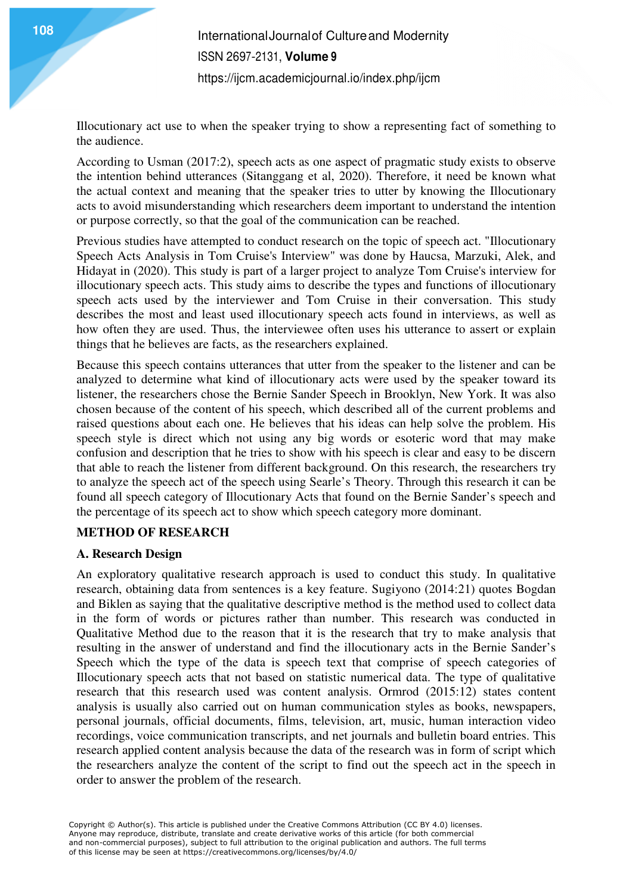Illocutionary act use to when the speaker trying to show a representing fact of something to the audience.

According to Usman (2017:2), speech acts as one aspect of pragmatic study exists to observe the intention behind utterances (Sitanggang et al, 2020). Therefore, it need be known what the actual context and meaning that the speaker tries to utter by knowing the Illocutionary acts to avoid misunderstanding which researchers deem important to understand the intention or purpose correctly, so that the goal of the communication can be reached.

Previous studies have attempted to conduct research on the topic of speech act. "Illocutionary Speech Acts Analysis in Tom Cruise's Interview" was done by Haucsa, Marzuki, Alek, and Hidayat in (2020). This study is part of a larger project to analyze Tom Cruise's interview for illocutionary speech acts. This study aims to describe the types and functions of illocutionary speech acts used by the interviewer and Tom Cruise in their conversation. This study describes the most and least used illocutionary speech acts found in interviews, as well as how often they are used. Thus, the interviewee often uses his utterance to assert or explain things that he believes are facts, as the researchers explained.

Because this speech contains utterances that utter from the speaker to the listener and can be analyzed to determine what kind of illocutionary acts were used by the speaker toward its listener, the researchers chose the Bernie Sander Speech in Brooklyn, New York. It was also chosen because of the content of his speech, which described all of the current problems and raised questions about each one. He believes that his ideas can help solve the problem. His speech style is direct which not using any big words or esoteric word that may make confusion and description that he tries to show with his speech is clear and easy to be discern that able to reach the listener from different background. On this research, the researchers try to analyze the speech act of the speech using Searle's Theory. Through this research it can be found all speech category of Illocutionary Acts that found on the Bernie Sander's speech and the percentage of its speech act to show which speech category more dominant.

# **METHOD OF RESEARCH**

#### **A. Research Design**

An exploratory qualitative research approach is used to conduct this study. In qualitative research, obtaining data from sentences is a key feature. Sugiyono (2014:21) quotes Bogdan and Biklen as saying that the qualitative descriptive method is the method used to collect data in the form of words or pictures rather than number. This research was conducted in Qualitative Method due to the reason that it is the research that try to make analysis that resulting in the answer of understand and find the illocutionary acts in the Bernie Sander's Speech which the type of the data is speech text that comprise of speech categories of Illocutionary speech acts that not based on statistic numerical data. The type of qualitative research that this research used was content analysis. Ormrod (2015:12) states content analysis is usually also carried out on human communication styles as books, newspapers, personal journals, official documents, films, television, art, music, human interaction video recordings, voice communication transcripts, and net journals and bulletin board entries. This research applied content analysis because the data of the research was in form of script which the researchers analyze the content of the script to find out the speech act in the speech in order to answer the problem of the research.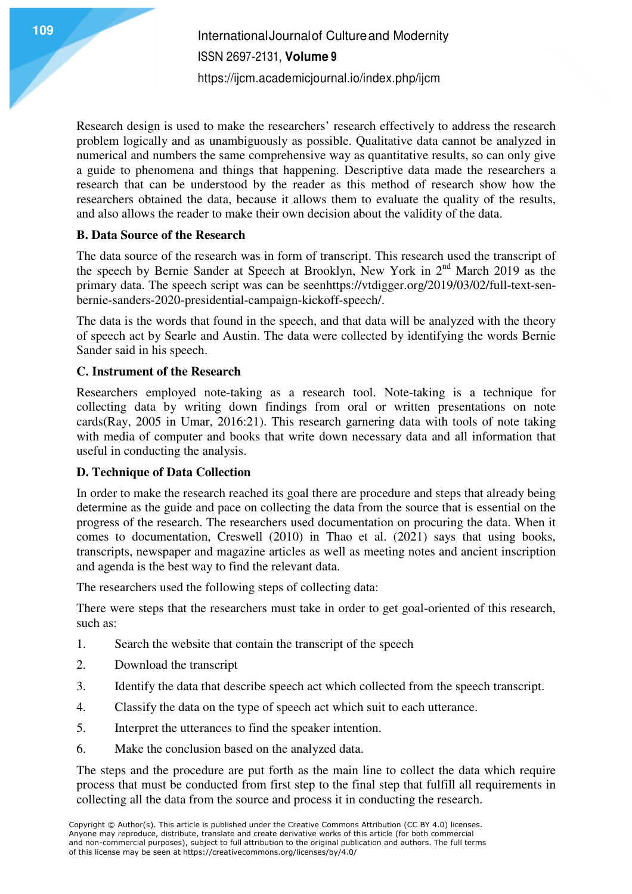Research design is used to make the researchers' research effectively to address the research problem logically and as unambiguously as possible. Qualitative data cannot be analyzed in numerical and numbers the same comprehensive way as quantitative results, so can only give a guide to phenomena and things that happening. Descriptive data made the researchers a research that can be understood by the reader as this method of research show how the researchers obtained the data, because it allows them to evaluate the quality of the results, and also allows the reader to make their own decision about the validity of the data.

# **B. Data Source of the Research**

The data source of the research was in form of transcript. This research used the transcript of the speech by Bernie Sander at Speech at Brooklyn, New York in 2nd March 2019 as the primary data. The speech script was can be seenhttps://vtdigger.org/2019/03/02/full-text-senbernie-sanders-2020-presidential-campaign-kickoff-speech/.

The data is the words that found in the speech, and that data will be analyzed with the theory of speech act by Searle and Austin. The data were collected by identifying the words Bernie Sander said in his speech.

# **C. Instrument of the Research**

Researchers employed note-taking as a research tool. Note-taking is a technique for collecting data by writing down findings from oral or written presentations on note cards(Ray, 2005 in Umar, 2016:21). This research garnering data with tools of note taking with media of computer and books that write down necessary data and all information that useful in conducting the analysis.

# **D. Technique of Data Collection**

In order to make the research reached its goal there are procedure and steps that already being determine as the guide and pace on collecting the data from the source that is essential on the progress of the research. The researchers used documentation on procuring the data. When it comes to documentation, Creswell (2010) in Thao et al. (2021) says that using books, transcripts, newspaper and magazine articles as well as meeting notes and ancient inscription and agenda is the best way to find the relevant data.

The researchers used the following steps of collecting data:

There were steps that the researchers must take in order to get goal-oriented of this research, such as:

- 1. Search the website that contain the transcript of the speech
- 2. Download the transcript
- 3. Identify the data that describe speech act which collected from the speech transcript.
- 4. Classify the data on the type of speech act which suit to each utterance.
- 5. Interpret the utterances to find the speaker intention.
- 6. Make the conclusion based on the analyzed data.

The steps and the procedure are put forth as the main line to collect the data which require process that must be conducted from first step to the final step that fulfill all requirements in collecting all the data from the source and process it in conducting the research.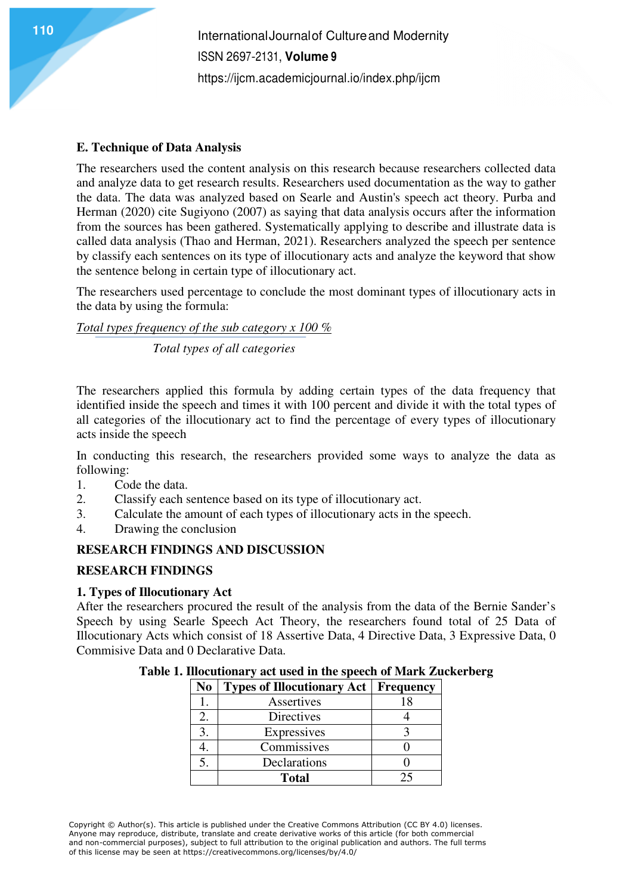## **E. Technique of Data Analysis**

The researchers used the content analysis on this research because researchers collected data and analyze data to get research results. Researchers used documentation as the way to gather the data. The data was analyzed based on Searle and Austin's speech act theory. Purba and Herman (2020) cite Sugiyono (2007) as saying that data analysis occurs after the information from the sources has been gathered. Systematically applying to describe and illustrate data is called data analysis (Thao and Herman, 2021). Researchers analyzed the speech per sentence by classify each sentences on its type of illocutionary acts and analyze the keyword that show the sentence belong in certain type of illocutionary act.

The researchers used percentage to conclude the most dominant types of illocutionary acts in the data by using the formula:

*Total types frequency of the sub category x 100 %* 

 *Total types of all categories* 

The researchers applied this formula by adding certain types of the data frequency that identified inside the speech and times it with 100 percent and divide it with the total types of all categories of the illocutionary act to find the percentage of every types of illocutionary acts inside the speech

In conducting this research, the researchers provided some ways to analyze the data as following:

- 1. Code the data.
- 2. Classify each sentence based on its type of illocutionary act.
- 3. Calculate the amount of each types of illocutionary acts in the speech.
- 4. Drawing the conclusion

# **RESEARCH FINDINGS AND DISCUSSION**

#### **RESEARCH FINDINGS**

#### **1. Types of Illocutionary Act**

After the researchers procured the result of the analysis from the data of the Bernie Sander's Speech by using Searle Speech Act Theory, the researchers found total of 25 Data of Illocutionary Acts which consist of 18 Assertive Data, 4 Directive Data, 3 Expressive Data, 0 Commisive Data and 0 Declarative Data.

| No | <b>Types of Illocutionary Act   Frequency</b> |    |
|----|-----------------------------------------------|----|
|    | Assertives                                    | 18 |
| 2. | Directives                                    |    |
| 3. | Expressives                                   |    |
|    | Commissives                                   |    |
| 5. | Declarations                                  |    |
|    | <b>Total</b>                                  | 25 |

**Table 1. Illocutionary act used in the speech of Mark Zuckerberg**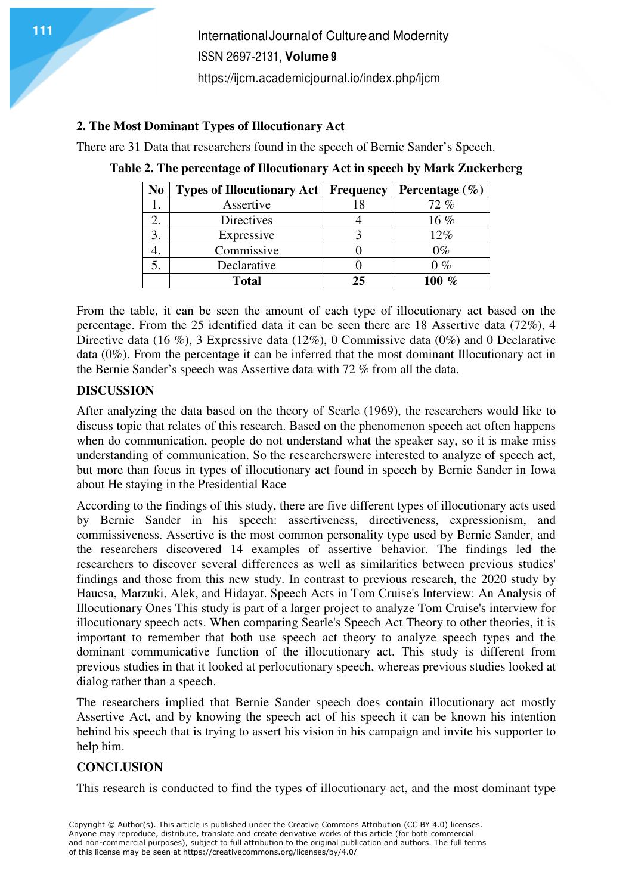#### **2. The Most Dominant Types of Illocutionary Act**

There are 31 Data that researchers found in the speech of Bernie Sander's Speech.

| No | <b>Types of Illocutionary Act</b> | <b>Frequency</b> | Percentage $(\% )$   |
|----|-----------------------------------|------------------|----------------------|
|    | Assertive                         |                  | 72%                  |
|    | Directives                        |                  | $16\%$               |
|    | Expressive                        |                  | 12%                  |
|    | Commissive                        |                  | $0\%$                |
|    | Declarative                       |                  | $0\%$                |
|    | <b>Total</b>                      | 25               | $\mathcal{O}_{\ell}$ |

| Table 2. The percentage of Illocutionary Act in speech by Mark Zuckerberg |  |
|---------------------------------------------------------------------------|--|
|---------------------------------------------------------------------------|--|

From the table, it can be seen the amount of each type of illocutionary act based on the percentage. From the 25 identified data it can be seen there are 18 Assertive data (72%), 4 Directive data (16 %), 3 Expressive data (12%), 0 Commissive data (0%) and 0 Declarative data (0%). From the percentage it can be inferred that the most dominant Illocutionary act in the Bernie Sander's speech was Assertive data with 72 % from all the data.

## **DISCUSSION**

After analyzing the data based on the theory of Searle (1969), the researchers would like to discuss topic that relates of this research. Based on the phenomenon speech act often happens when do communication, people do not understand what the speaker say, so it is make miss understanding of communication. So the researcherswere interested to analyze of speech act, but more than focus in types of illocutionary act found in speech by Bernie Sander in Iowa about He staying in the Presidential Race

According to the findings of this study, there are five different types of illocutionary acts used by Bernie Sander in his speech: assertiveness, directiveness, expressionism, and commissiveness. Assertive is the most common personality type used by Bernie Sander, and the researchers discovered 14 examples of assertive behavior. The findings led the researchers to discover several differences as well as similarities between previous studies' findings and those from this new study. In contrast to previous research, the 2020 study by Haucsa, Marzuki, Alek, and Hidayat. Speech Acts in Tom Cruise's Interview: An Analysis of Illocutionary Ones This study is part of a larger project to analyze Tom Cruise's interview for illocutionary speech acts. When comparing Searle's Speech Act Theory to other theories, it is important to remember that both use speech act theory to analyze speech types and the dominant communicative function of the illocutionary act. This study is different from previous studies in that it looked at perlocutionary speech, whereas previous studies looked at dialog rather than a speech.

The researchers implied that Bernie Sander speech does contain illocutionary act mostly Assertive Act, and by knowing the speech act of his speech it can be known his intention behind his speech that is trying to assert his vision in his campaign and invite his supporter to help him.

# **CONCLUSION**

This research is conducted to find the types of illocutionary act, and the most dominant type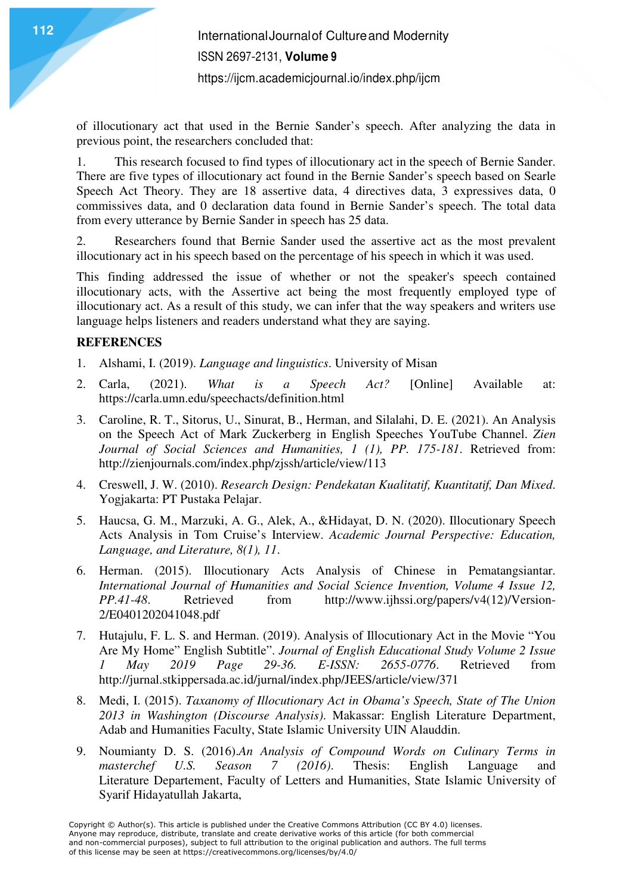of illocutionary act that used in the Bernie Sander's speech. After analyzing the data in previous point, the researchers concluded that:

1. This research focused to find types of illocutionary act in the speech of Bernie Sander. There are five types of illocutionary act found in the Bernie Sander's speech based on Searle Speech Act Theory. They are 18 assertive data, 4 directives data, 3 expressives data, 0 commissives data, and 0 declaration data found in Bernie Sander's speech. The total data from every utterance by Bernie Sander in speech has 25 data.

2. Researchers found that Bernie Sander used the assertive act as the most prevalent illocutionary act in his speech based on the percentage of his speech in which it was used.

This finding addressed the issue of whether or not the speaker's speech contained illocutionary acts, with the Assertive act being the most frequently employed type of illocutionary act. As a result of this study, we can infer that the way speakers and writers use language helps listeners and readers understand what they are saying.

## **REFERENCES**

- 1. Alshami, I. (2019). *Language and linguistics*. University of Misan
- 2. Carla, (2021). *What is a Speech Act?* [Online] Available at: https://carla.umn.edu/speechacts/definition.html
- 3. Caroline, R. T., Sitorus, U., Sinurat, B., Herman, and Silalahi, D. E. (2021). An Analysis on the Speech Act of Mark Zuckerberg in English Speeches YouTube Channel. *Zien Journal of Social Sciences and Humanities, 1 (1), PP. 175-181*. Retrieved from: http://zienjournals.com/index.php/zjssh/article/view/113
- 4. Creswell, J. W. (2010). *Research Design: Pendekatan Kualitatif, Kuantitatif, Dan Mixed*. Yogjakarta: PT Pustaka Pelajar.
- 5. Haucsa, G. M., Marzuki, A. G., Alek, A., &Hidayat, D. N. (2020). Illocutionary Speech Acts Analysis in Tom Cruise's Interview. *Academic Journal Perspective: Education, Language, and Literature, 8(1), 11*.
- 6. Herman. (2015). Illocutionary Acts Analysis of Chinese in Pematangsiantar. *International Journal of Humanities and Social Science Invention, Volume 4 Issue 12, PP.41-48.* Retrieved from http://www.ijhssi.org/papers/v4(12)/Version-*Petrieved* from http://www.ijhssi.org/papers/v4(12)/Version-2/E0401202041048.pdf
- 7. Hutajulu, F. L. S. and Herman. (2019). Analysis of Illocutionary Act in the Movie "You Are My Home" English Subtitle". *Journal of English Educational Study Volume 2 Issue 1 May 2019 Page 29-36. E-ISSN: 2655-0776*. Retrieved from http://jurnal.stkippersada.ac.id/jurnal/index.php/JEES/article/view/371
- 8. Medi, I. (2015). *Taxanomy of Illocutionary Act in Obama's Speech, State of The Union 2013 in Washington (Discourse Analysis)*. Makassar: English Literature Department, Adab and Humanities Faculty, State Islamic University UIN Alauddin.
- 9. Noumianty D. S. (2016).*An Analysis of Compound Words on Culinary Terms in masterchef U.S. Season 7 (2016)*. Thesis: English Language and Literature Departement, Faculty of Letters and Humanities, State Islamic University of Syarif Hidayatullah Jakarta,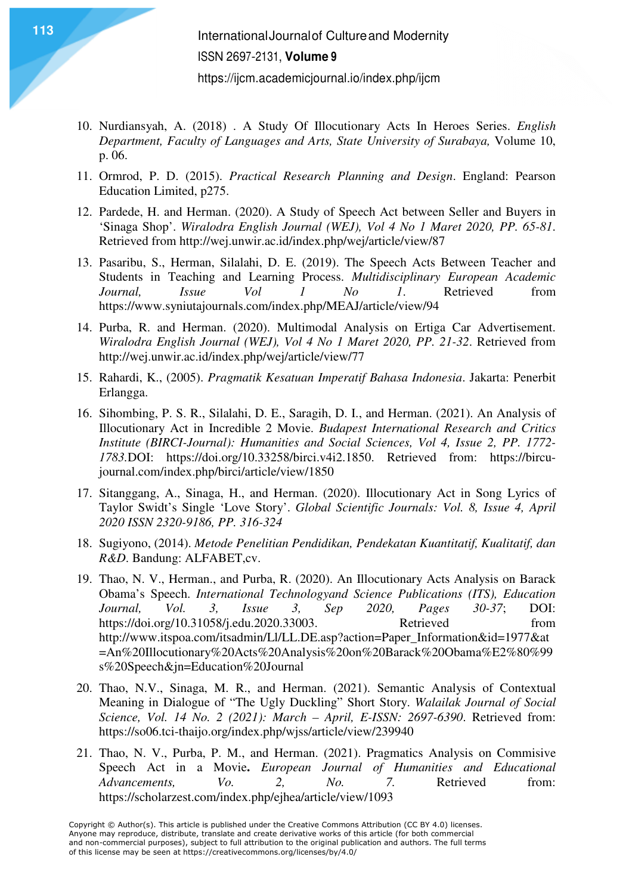- 10. Nurdiansyah, A. (2018) . A Study Of Illocutionary Acts In Heroes Series. *English Department, Faculty of Languages and Arts, State University of Surabaya,* Volume 10, p. 06.
- 11. Ormrod, P. D. (2015). *Practical Research Planning and Design*. England: Pearson Education Limited, p275.
- 12. Pardede, H. and Herman. (2020). A Study of Speech Act between Seller and Buyers in 'Sinaga Shop'. *Wiralodra English Journal (WEJ), Vol 4 No 1 Maret 2020, PP. 65-81*. Retrieved from http://wej.unwir.ac.id/index.php/wej/article/view/87
- 13. Pasaribu, S., Herman, Silalahi, D. E. (2019). The Speech Acts Between Teacher and Students in Teaching and Learning Process. *Multidisciplinary European Academic Journal, Issue Vol 1 No 1*. Retrieved from https://www.syniutajournals.com/index.php/MEAJ/article/view/94
- 14. Purba, R. and Herman. (2020). Multimodal Analysis on Ertiga Car Advertisement. *Wiralodra English Journal (WEJ), Vol 4 No 1 Maret 2020, PP. 21-32*. Retrieved from http://wej.unwir.ac.id/index.php/wej/article/view/77
- 15. Rahardi, K., (2005). *Pragmatik Kesatuan Imperatif Bahasa Indonesia*. Jakarta: Penerbit Erlangga.
- 16. Sihombing, P. S. R., Silalahi, D. E., Saragih, D. I., and Herman. (2021). An Analysis of Illocutionary Act in Incredible 2 Movie. *Budapest International Research and Critics Institute (BIRCI-Journal): Humanities and Social Sciences, Vol 4, Issue 2, PP. 1772- 1783.*DOI: https://doi.org/10.33258/birci.v4i2.1850. Retrieved from: https://bircujournal.com/index.php/birci/article/view/1850
- 17. Sitanggang, A., Sinaga, H., and Herman. (2020). Illocutionary Act in Song Lyrics of Taylor Swidt's Single 'Love Story'. *Global Scientific Journals: Vol. 8, Issue 4, April 2020 ISSN 2320-9186, PP. 316-324*
- 18. Sugiyono, (2014). *Metode Penelitian Pendidikan, Pendekatan Kuantitatif, Kualitatif, dan R&D*. Bandung: ALFABET,cv.
- 19. Thao, N. V., Herman., and Purba, R. (2020). An Illocutionary Acts Analysis on Barack Obama's Speech. *International Technologyand Science Publications (ITS), Education Journal, Vol. 3, Issue 3, Sep 2020, Pages 30-37*; DOI: https://doi.org/10.31058/j.edu.2020.33003. Retrieved from http://www.itspoa.com/itsadmin/Ll/LL.DE.asp?action=Paper\_Information&id=1977&at =An%20Illocutionary%20Acts%20Analysis%20on%20Barack%20Obama%E2%80%99 s%20Speech&jn=Education%20Journal
- 20. Thao, N.V., Sinaga, M. R., and Herman. (2021). Semantic Analysis of Contextual Meaning in Dialogue of "The Ugly Duckling" Short Story. *Walailak Journal of Social Science, Vol. 14 No. 2 (2021): March – April, E-ISSN: 2697-6390*. Retrieved from: https://so06.tci-thaijo.org/index.php/wjss/article/view/239940
- 21. Thao, N. V., Purba, P. M., and Herman. (2021). Pragmatics Analysis on Commisive Speech Act in a Movie**.** *European Journal of Humanities and Educational Advancements, Vo. 2, No. 7.* Retrieved from: https://scholarzest.com/index.php/ejhea/article/view/1093